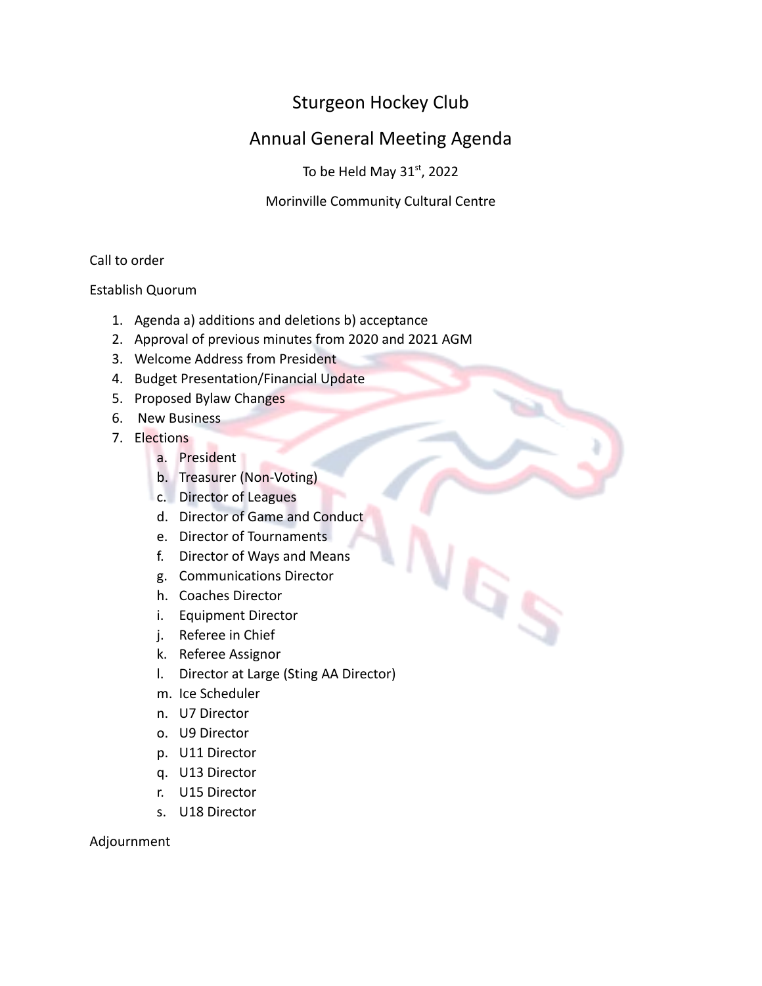# Sturgeon Hockey Club

# Annual General Meeting Agenda

To be Held May  $31<sup>st</sup>$ , 2022

Morinville Community Cultural Centre

 $5s$ 

Call to order

Establish Quorum

- 1. Agenda a) additions and deletions b) acceptance
- 2. Approval of previous minutes from 2020 and 2021 AGM
- 3. Welcome Address from President
- 4. Budget Presentation/Financial Update
- 5. Proposed Bylaw Changes
- 6. New Business
- 7. Elections
	- a. President
	- b. Treasurer (Non-Voting)
	- c. Director of Leagues
	- d. Director of Game and Conduct
	- e. Director of Tournaments
	- f. Director of Ways and Means
	- g. Communications Director
	- h. Coaches Director
	- i. Equipment Director
	- j. Referee in Chief
	- k. Referee Assignor
	- l. Director at Large (Sting AA Director)
	- m. Ice Scheduler
	- n. U7 Director
	- o. U9 Director
	- p. U11 Director
	- q. U13 Director
	- r. U15 Director
	- s. U18 Director

Adjournment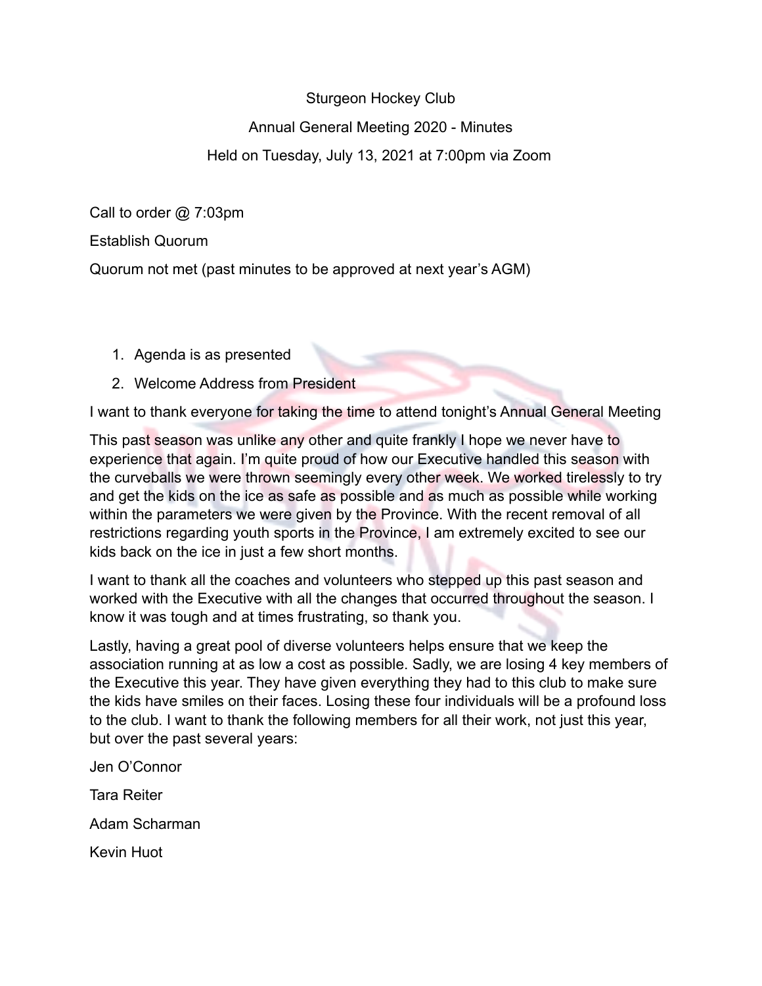#### Sturgeon Hockey Club

# Annual General Meeting 2020 - Minutes

# Held on Tuesday, July 13, 2021 at 7:00pm via Zoom

Call to order @ 7:03pm

Establish Quorum

Quorum not met (past minutes to be approved at next year's AGM)

- 1. Agenda is as presented
- 2. Welcome Address from President

I want to thank everyone for taking the time to attend tonight's Annual General Meeting

This past season was unlike any other and quite frankly I hope we never have to experience that again. I'm quite proud of how our Executive handled this season with the curveballs we were thrown seemingly every other week. We worked tirelessly to try and get the kids on the ice as safe as possible and as much as possible while working within the parameters we were given by the Province. With the recent removal of all restrictions regarding youth sports in the Province, I am extremely excited to see our kids back on the ice in just a few short months.

I want to thank all the coaches and volunteers who stepped up this past season and worked with the Executive with all the changes that occurred throughout the season. I know it was tough and at times frustrating, so thank you.

Lastly, having a great pool of diverse volunteers helps ensure that we keep the association running at as low a cost as possible. Sadly, we are losing 4 key members of the Executive this year. They have given everything they had to this club to make sure the kids have smiles on their faces. Losing these four individuals will be a profound loss to the club. I want to thank the following members for all their work, not just this year, but over the past several years:

Jen O'Connor Tara Reiter Adam Scharman Kevin Huot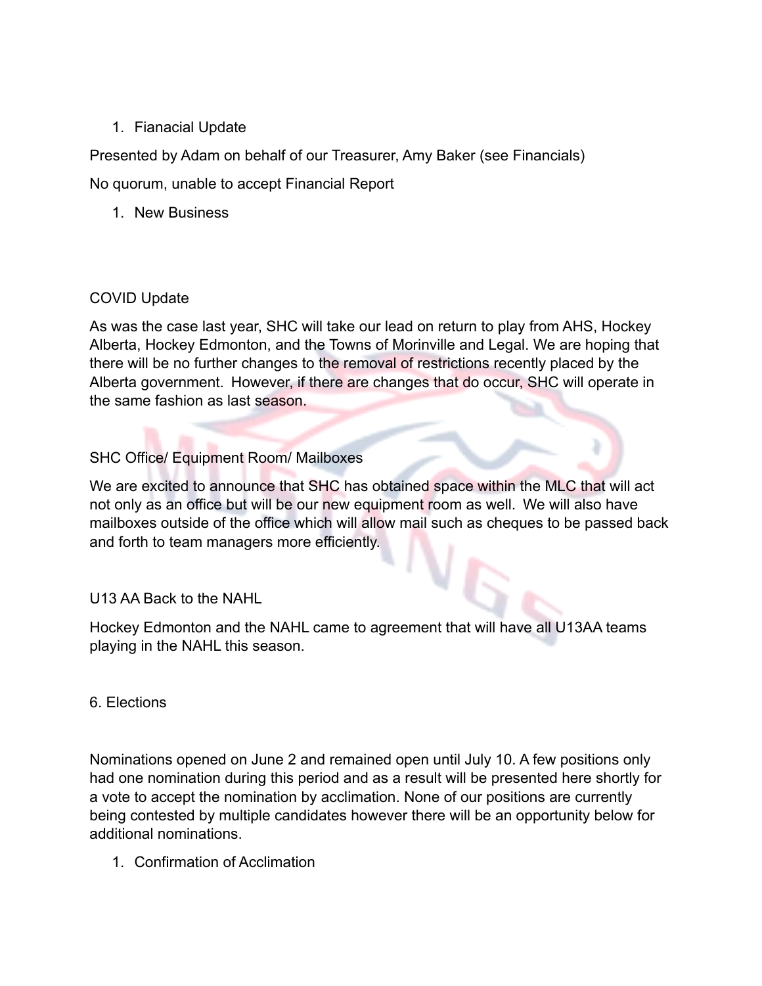#### 1. Fianacial Update

Presented by Adam on behalf of our Treasurer, Amy Baker (see Financials)

No quorum, unable to accept Financial Report

1. New Business

#### COVID Update

As was the case last year, SHC will take our lead on return to play from AHS, Hockey Alberta, Hockey Edmonton, and the Towns of Morinville and Legal. We are hoping that there will be no further changes to the removal of restrictions recently placed by the Alberta government. However, if there are changes that do occur, SHC will operate in the same fashion as last season.

### SHC Office/ Equipment Room/ Mailboxes

We are excited to announce that SHC has obtained space within the MLC that will act not only as an office but will be our new equipment room as well. We will also have mailboxes outside of the office which will allow mail such as cheques to be passed back and forth to team managers more efficiently.

### U13 AA Back to the NAHL

Hockey Edmonton and the NAHL came to agreement that will have all U13AA teams playing in the NAHL this season.

#### 6. Elections

Nominations opened on June 2 and remained open until July 10. A few positions only had one nomination during this period and as a result will be presented here shortly for a vote to accept the nomination by acclimation. None of our positions are currently being contested by multiple candidates however there will be an opportunity below for additional nominations.

1. Confirmation of Acclimation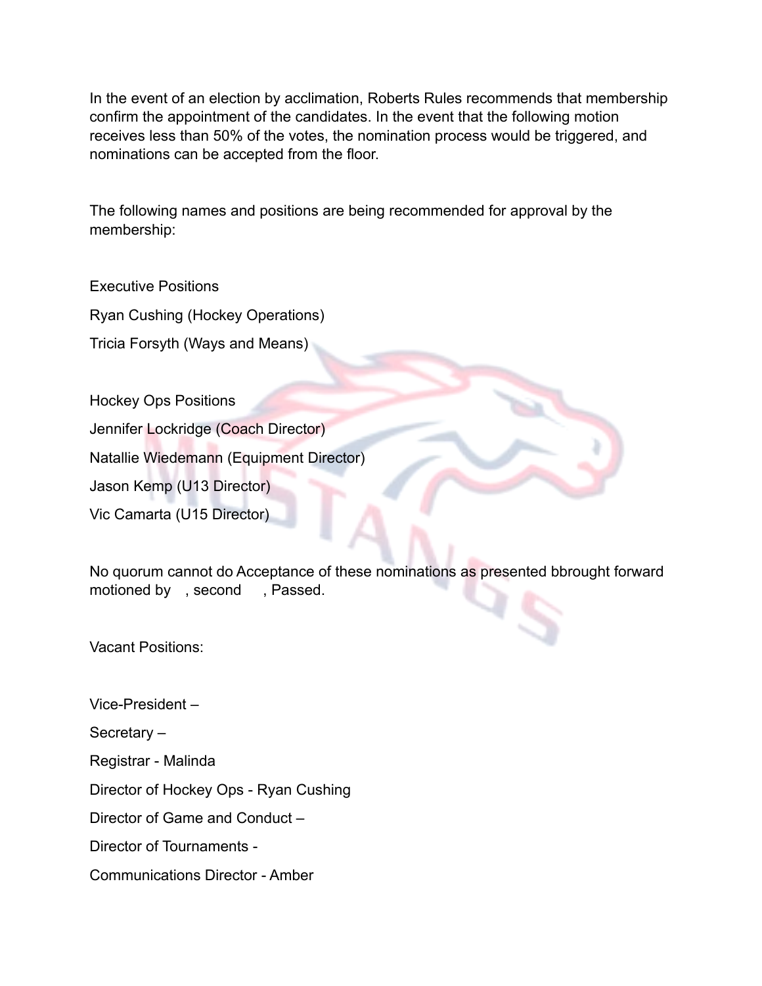In the event of an election by acclimation, Roberts Rules recommends that membership confirm the appointment of the candidates. In the event that the following motion receives less than 50% of the votes, the nomination process would be triggered, and nominations can be accepted from the floor.

The following names and positions are being recommended for approval by the membership:

Executive Positions Ryan Cushing (Hockey Operations) Tricia Forsyth (Ways and Means)

Hockey Ops Positions

Jennifer Lockridge (Coach Director)

Natallie Wiedemann (Equipment Director)

Jason Kemp (U13 Director)

Vic Camarta (U15 Director)

No quorum cannot do Acceptance of these nominations as presented bbrought forward motioned by , second , Passed.

Vacant Positions:

Vice-President –

Secretary –

Registrar - Malinda

Director of Hockey Ops - Ryan Cushing

Director of Game and Conduct –

Director of Tournaments -

Communications Director - Amber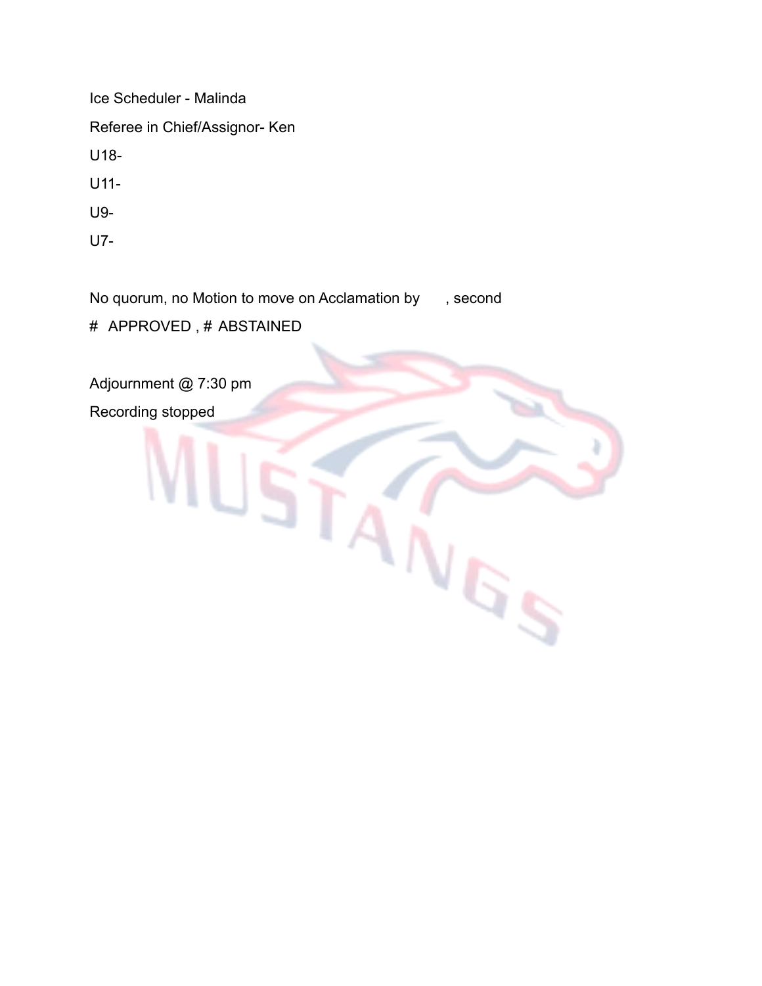Ice Scheduler - Malinda Referee in Chief/Assignor- Ken U18- U11- U9-

U7-

No quorum, no Motion to move on Acclamation by , second

**NGS** 

# APPROVED , # ABSTAINED

Adjournment @ 7:30 pm

Recording stopped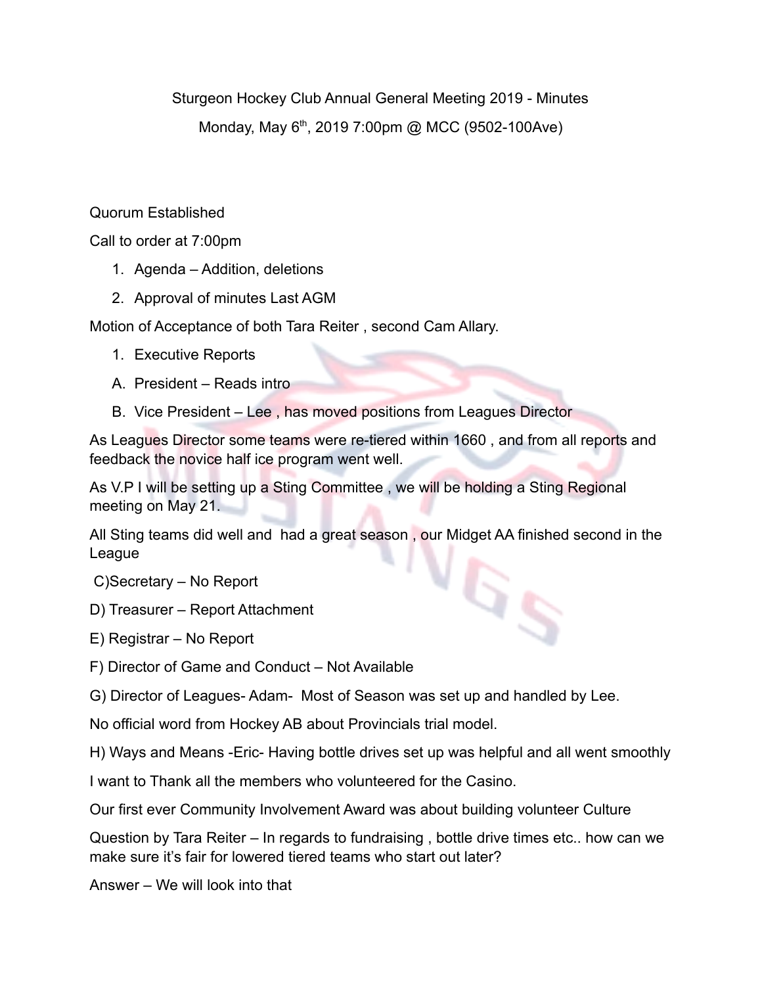Sturgeon Hockey Club Annual General Meeting 2019 - Minutes Monday, May 6<sup>th</sup>, 2019 7:00pm @ MCC (9502-100Ave)

## Quorum Established

Call to order at 7:00pm

- 1. Agenda Addition, deletions
- 2. Approval of minutes Last AGM

Motion of Acceptance of both Tara Reiter , second Cam Allary.

- 1. Executive Reports
- A. President Reads intro
- B. Vice President Lee , has moved positions from Leagues Director

As Leagues Director some teams were re-tiered within 1660 , and from all reports and feedback the novice half ice program went well.

As V.P I will be setting up a Sting Committee , we will be holding a Sting Regional meeting on May 21.

All Sting teams did well and had a great season , our Midget AA finished second in the League G<sub>S</sub>

C)Secretary – No Report

- D) Treasurer Report Attachment
- E) Registrar No Report
- F) Director of Game and Conduct Not Available
- G) Director of Leagues- Adam- Most of Season was set up and handled by Lee.

No official word from Hockey AB about Provincials trial model.

H) Ways and Means -Eric- Having bottle drives set up was helpful and all went smoothly

I want to Thank all the members who volunteered for the Casino.

Our first ever Community Involvement Award was about building volunteer Culture

Question by Tara Reiter – In regards to fundraising , bottle drive times etc.. how can we make sure it's fair for lowered tiered teams who start out later?

Answer – We will look into that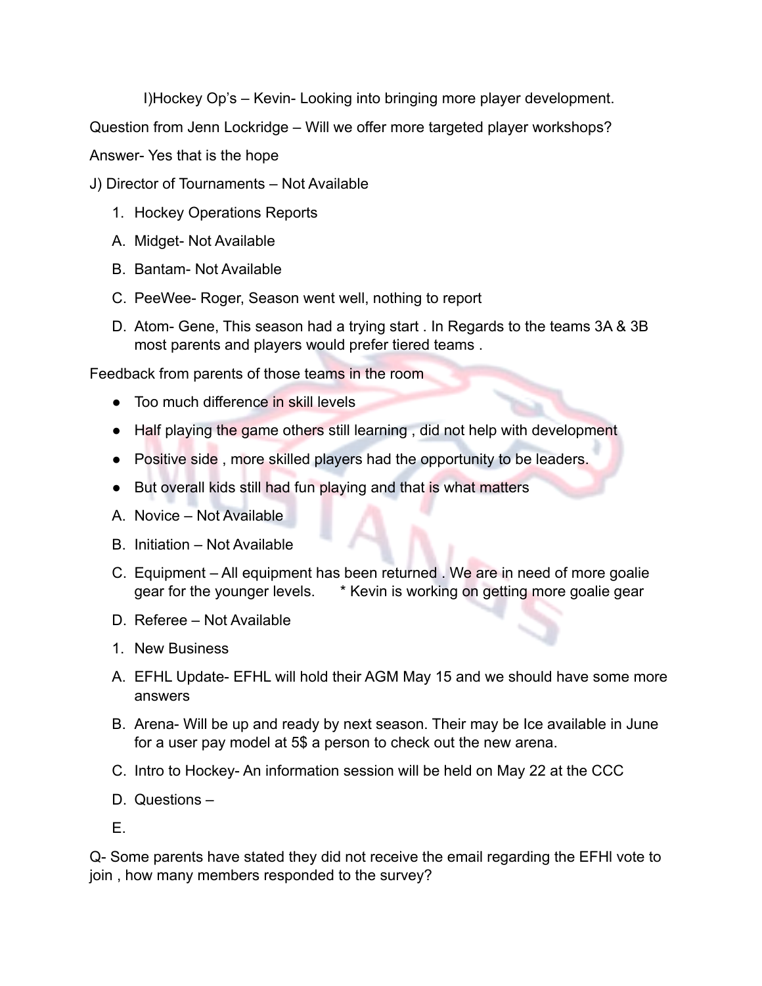I)Hockey Op's – Kevin- Looking into bringing more player development.

Question from Jenn Lockridge – Will we offer more targeted player workshops?

Answer- Yes that is the hope

- J) Director of Tournaments Not Available
	- 1. Hockey Operations Reports
	- A. Midget- Not Available
	- B. Bantam- Not Available
	- C. PeeWee- Roger, Season went well, nothing to report
	- D. Atom- Gene, This season had a trying start . In Regards to the teams 3A & 3B most parents and players would prefer tiered teams .

Feedback from parents of those teams in the room

- Too much difference in skill levels
- Half playing the game others still learning, did not help with development
- Positive side , more skilled players had the opportunity to be leaders.
- But overall kids still had fun playing and that is what matters
- A. Novice Not Available
- B. Initiation Not Available
- C. Equipment All equipment has been returned . We are in need of more goalie gear for the younger levels. \* Kevin is working on getting more goalie gear
- D. Referee Not Available
- 1. New Business
- A. EFHL Update- EFHL will hold their AGM May 15 and we should have some more answers
- B. Arena- Will be up and ready by next season. Their may be Ice available in June for a user pay model at 5\$ a person to check out the new arena.
- C. Intro to Hockey- An information session will be held on May 22 at the CCC
- D. Questions –

E.

Q- Some parents have stated they did not receive the email regarding the EFHl vote to join , how many members responded to the survey?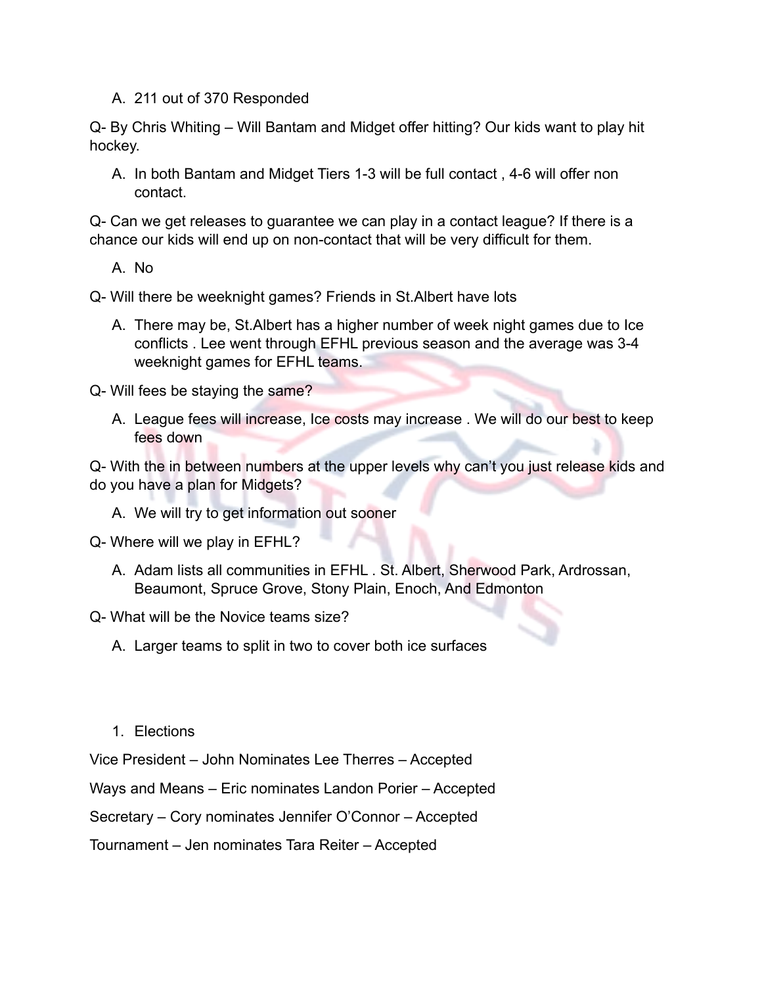A. 211 out of 370 Responded

Q- By Chris Whiting – Will Bantam and Midget offer hitting? Our kids want to play hit hockey.

A. In both Bantam and Midget Tiers 1-3 will be full contact , 4-6 will offer non contact.

Q- Can we get releases to guarantee we can play in a contact league? If there is a chance our kids will end up on non-contact that will be very difficult for them.

A. No

Q- Will there be weeknight games? Friends in St.Albert have lots

A. There may be, St.Albert has a higher number of week night games due to Ice conflicts . Lee went through EFHL previous season and the average was 3-4 weeknight games for EFHL teams.

Q- Will fees be staying the same?

A. League fees will increase, Ice costs may increase . We will do our best to keep fees down

Q- With the in between numbers at the upper levels why can't you just release kids and do you have a plan for Midgets?

A. We will try to get information out sooner

Q- Where will we play in EFHL?

- A. Adam lists all communities in EFHL . St. Albert, Sherwood Park, Ardrossan, Beaumont, Spruce Grove, Stony Plain, Enoch, And Edmonton
- Q- What will be the Novice teams size?
	- A. Larger teams to split in two to cover both ice surfaces
	- 1. Elections

Vice President – John Nominates Lee Therres – Accepted

Ways and Means – Eric nominates Landon Porier – Accepted

Secretary – Cory nominates Jennifer O'Connor – Accepted

Tournament – Jen nominates Tara Reiter – Accepted